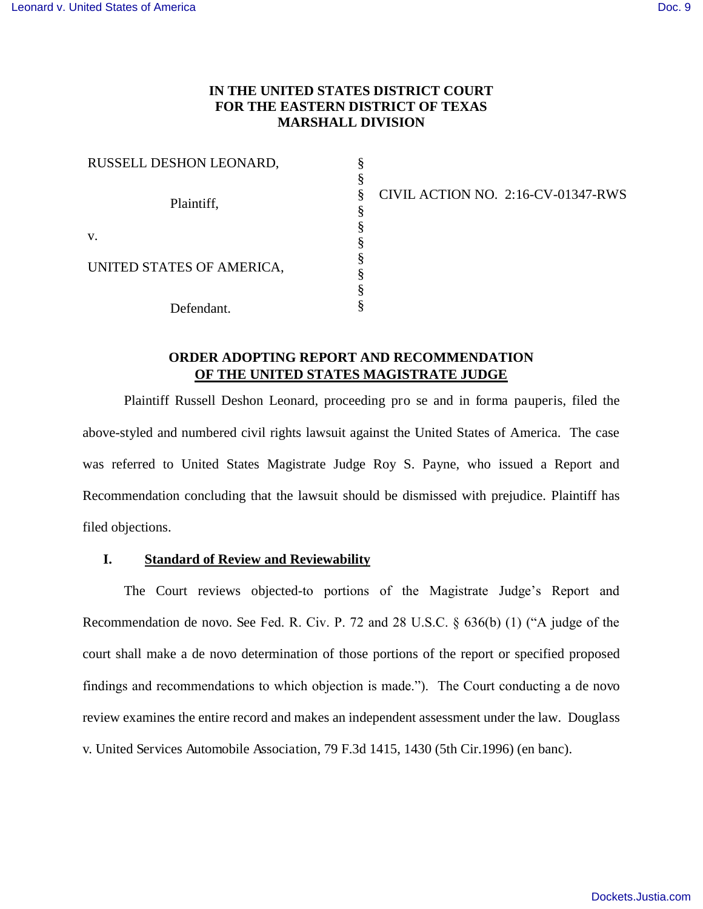# **IN THE UNITED STATES DISTRICT COURT FOR THE EASTERN DISTRICT OF TEXAS MARSHALL DIVISION**

§ § § § § § § § § §

| RUSSELL DESHON LEONARD,   |  |
|---------------------------|--|
| Plaintiff,                |  |
| V.                        |  |
| UNITED STATES OF AMERICA, |  |
| Defendant.                |  |

CIVIL ACTION NO. 2:16-CV-01347-RWS

# **ORDER ADOPTING REPORT AND RECOMMENDATION OF THE UNITED STATES MAGISTRATE JUDGE**

Plaintiff Russell Deshon Leonard, proceeding pro se and in forma pauperis, filed the above-styled and numbered civil rights lawsuit against the United States of America. The case was referred to United States Magistrate Judge Roy S. Payne, who issued a Report and Recommendation concluding that the lawsuit should be dismissed with prejudice. Plaintiff has filed objections.

# **I. Standard of Review and Reviewability**

The Court reviews objected-to portions of the Magistrate Judge's Report and Recommendation de novo. See Fed. R. Civ. P. 72 and 28 U.S.C. § 636(b) (1) ("A judge of the court shall make a de novo determination of those portions of the report or specified proposed findings and recommendations to which objection is made."). The Court conducting a de novo review examines the entire record and makes an independent assessment under the law. Douglass v. United Services Automobile Association, 79 F.3d 1415, 1430 (5th Cir.1996) (en banc).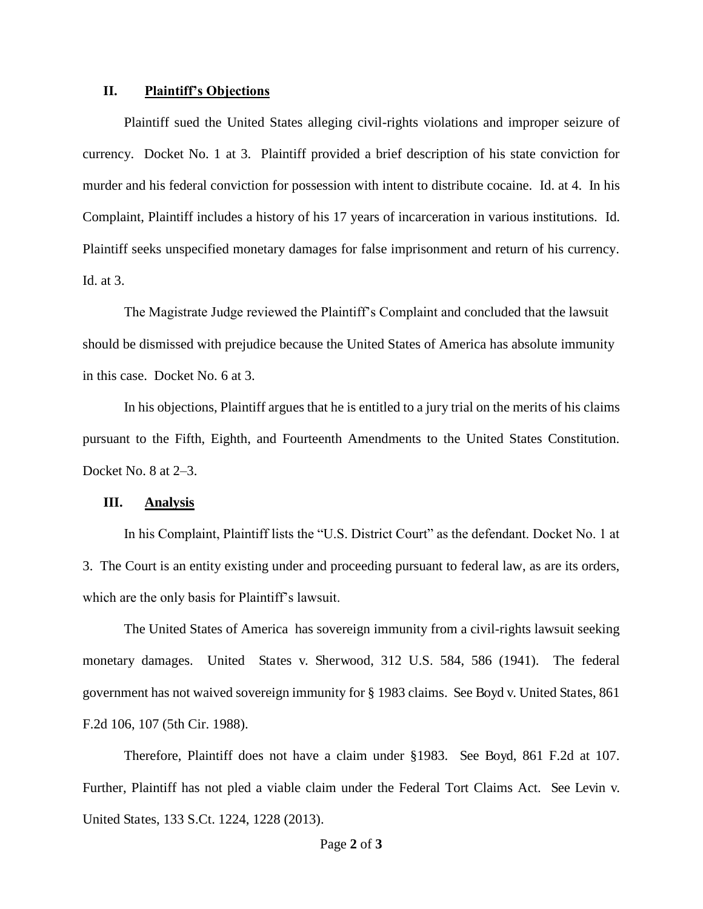### **II. Plaintiff's Objections**

Plaintiff sued the United States alleging civil-rights violations and improper seizure of currency. Docket No. 1 at 3. Plaintiff provided a brief description of his state conviction for murder and his federal conviction for possession with intent to distribute cocaine. Id. at 4. In his Complaint, Plaintiff includes a history of his 17 years of incarceration in various institutions. Id. Plaintiff seeks unspecified monetary damages for false imprisonment and return of his currency. Id. at 3.

The Magistrate Judge reviewed the Plaintiff's Complaint and concluded that the lawsuit should be dismissed with prejudice because the United States of America has absolute immunity in this case. Docket No. 6 at 3.

In his objections, Plaintiff argues that he is entitled to a jury trial on the merits of his claims pursuant to the Fifth, Eighth, and Fourteenth Amendments to the United States Constitution. Docket No. 8 at 2–3.

#### **III. Analysis**

In his Complaint, Plaintiff lists the "U.S. District Court" as the defendant. Docket No. 1 at 3. The Court is an entity existing under and proceeding pursuant to federal law, as are its orders, which are the only basis for Plaintiff's lawsuit.

The United States of America has sovereign immunity from a civil-rights lawsuit seeking monetary damages. United States v. Sherwood, 312 U.S. 584, 586 (1941). The federal government has not waived sovereign immunity for § 1983 claims. See Boyd v. United States, 861 F.2d 106, 107 (5th Cir. 1988).

Therefore, Plaintiff does not have a claim under §1983. See Boyd, 861 F.2d at 107. Further, Plaintiff has not pled a viable claim under the Federal Tort Claims Act. See Levin v. United States, 133 S.Ct. 1224, 1228 (2013).